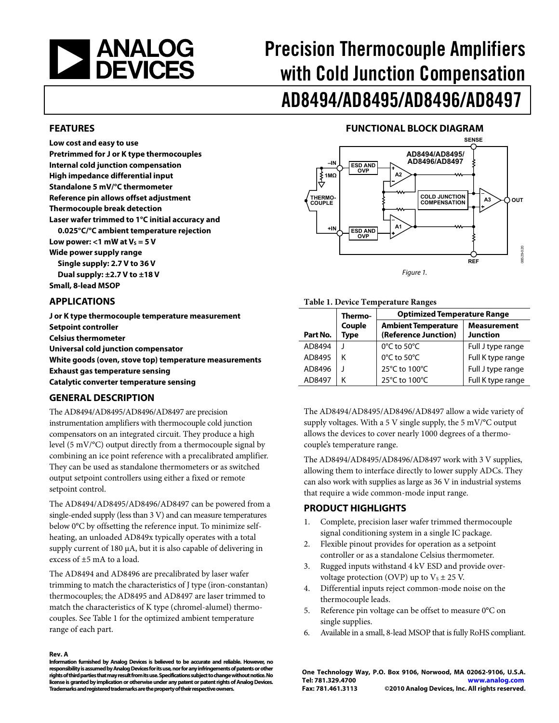<span id="page-0-1"></span>

# Precision Thermocouple Amplifiers with Cold Junction Compensation AD8494/AD8495/AD8496/AD8497

#### **FEATURES**

**Low cost and easy to use Pretrimmed for J or K type thermocouples Internal cold junction compensation High impedance differential input Standalone 5 mV/°C thermometer Reference pin allows offset adjustment Thermocouple break detection Laser wafer trimmed to 1°C initial accuracy and 0.025°C/°C ambient temperature rejection**  Low power:  $<$ 1 mW at V<sub>s</sub> = 5 V **Wide power supply range Single supply: 2.7 V to 36 V Dual supply: ±2.7 V to ±18 V Small, 8-lead MSOP** 

#### <span id="page-0-0"></span>**APPLICATIONS**

**J or K type thermocouple temperature measurement Setpoint controller Celsius thermometer Universal cold junction compensator White goods (oven, stove top) temperature measurements Exhaust gas temperature sensing Catalytic converter temperature sensing** 

#### **GENERAL DESCRIPTION**

The AD8494/AD8495/AD8496/AD8497 are precision instrumentation amplifiers with thermocouple cold junction compensators on an integrated circuit. They produce a high level (5 mV/°C) output directly from a thermocouple signal by combining an ice point reference with a precalibrated amplifier. They can be used as standalone thermometers or as switched output setpoint controllers using either a fixed or remote setpoint control.

The AD8494/AD8495/AD8496/AD8497 can be powered from a single-ended supply (less than 3 V) and can measure temperatures below 0°C by offsetting the reference input. To minimize selfheating, an unloaded AD849x typically operates with a total supply current of 180 μA, but it is also capable of delivering in excess of ±5 mA to a load.

The AD8494 and AD8496 are precalibrated by laser wafer trimming to match the characteristics of J type (iron-constantan) thermocouples; the AD8495 and AD8497 are laser trimmed to match the characteristics of K type (chromel-alumel) thermocouples. See [Table 1](#page-0-0) for the optimized ambient temperature range of each part.

#### **Rev. A**

**Information furnished by Analog Devices is believed to be accurate and reliable. However, no responsibility is assumed by Analog Devices for its use, nor for any infringements of patents or other rights of third parties that may result from its use. Specifications subject to change without notice. No license is granted by implication or otherwise under any patent or patent rights of Analog Devices. Trademarks and registered trademarks are the property of their respective owners.** 

#### **FUNCTIONAL BLOCK DIAGRAM**



Figure 1.

#### **Table 1. Device Temperature Ranges**

|          | Thermo-               | <b>Optimized Temperature Range</b>                 |                                       |  |  |
|----------|-----------------------|----------------------------------------------------|---------------------------------------|--|--|
| Part No. | Couple<br><b>Type</b> | <b>Ambient Temperature</b><br>(Reference Junction) | <b>Measurement</b><br><b>Junction</b> |  |  |
| AD8494   |                       | $0^{\circ}$ C to 50 $^{\circ}$ C                   | Full J type range                     |  |  |
| AD8495   | κ                     | 0°C to 50°C                                        | Full K type range                     |  |  |
| AD8496   |                       | 25°C to 100°C                                      | Full J type range                     |  |  |
| AD8497   |                       | 25°C to 100°C                                      | Full K type range                     |  |  |

The AD8494/AD8495/AD8496/AD8497 allow a wide variety of supply voltages. With a 5 V single supply, the 5 mV/°C output allows the devices to cover nearly 1000 degrees of a thermocouple's temperature range.

The AD8494/AD8495/AD8496/AD8497 work with 3 V supplies, allowing them to interface directly to lower supply ADCs. They can also work with supplies as large as 36 V in industrial systems that require a wide common-mode input range.

#### **PRODUCT HIGHLIGHTS**

- 1. Complete, precision laser wafer trimmed thermocouple signal conditioning system in a single IC package.
- 2. Flexible pinout provides for operation as a setpoint controller or as a standalone Celsius thermometer.
- 3. Rugged inputs withstand 4 kV ESD and provide overvoltage protection (OVP) up to  $V_s \pm 25$  V.
- 4. Differential inputs reject common-mode noise on the thermocouple leads.
- 5. Reference pin voltage can be offset to measure 0°C on single supplies.
- 6. Available in a small, 8-lead MSOP that is fully RoHS compliant.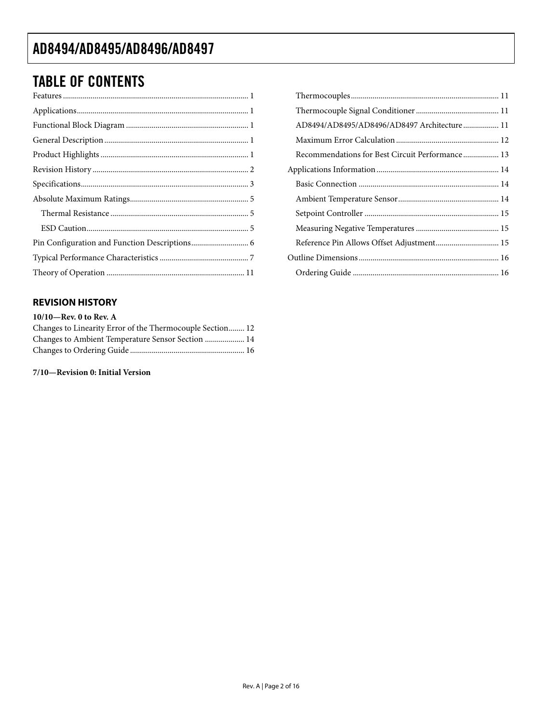## <span id="page-1-0"></span>TABLE OF CONTENTS

#### **REVISION HISTORY**

| $10/10$ —Rev. 0 to Rev. A                                 |
|-----------------------------------------------------------|
| Changes to Linearity Error of the Thermocouple Section 12 |
| Changes to Ambient Temperature Sensor Section  14         |
|                                                           |

**7/10—Revision 0: Initial Version** 

| AD8494/AD8495/AD8496/AD8497 Architecture 11     |  |
|-------------------------------------------------|--|
|                                                 |  |
| Recommendations for Best Circuit Performance 13 |  |
|                                                 |  |
|                                                 |  |
|                                                 |  |
|                                                 |  |
|                                                 |  |
| Reference Pin Allows Offset Adjustment 15       |  |
|                                                 |  |
|                                                 |  |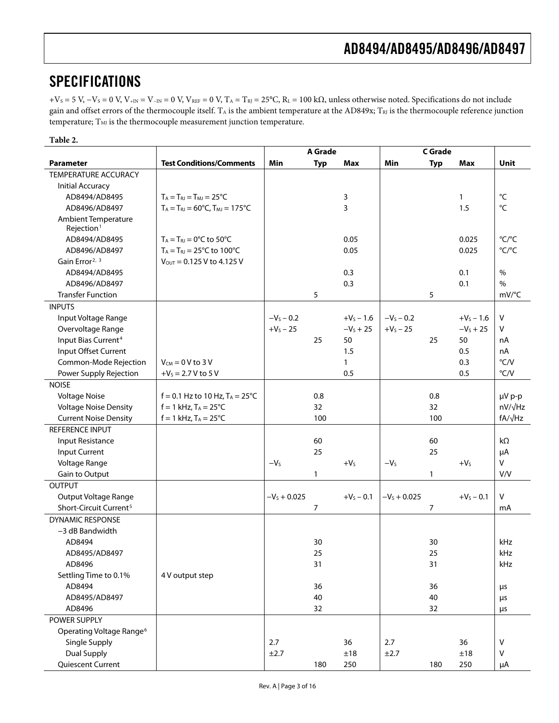### <span id="page-2-0"></span>SPECIFICATIONS

 $+V_S = 5$  V,  $-V_S = 0$  V,  $V_{+IN} = V_{-IN} = 0$  V,  $V_{REF} = 0$  V,  $T_A = T_{RI} = 25$ °C,  $R_L = 100$  k $\Omega$ , unless otherwise noted. Specifications do not include gain and offset errors of the thermocouple itself.  $T_A$  is the ambient temperature at the AD849x;  $T_{RI}$  is the thermocouple reference junction temperature;  $\mathrm{T}_{\mathrm{MI}}$  is the thermocouple measurement junction temperature.

#### **Table 2.**

<span id="page-2-1"></span>

|                                                      |                                                         | <b>A</b> Grade |            | C Grade      |                |            |              |                |
|------------------------------------------------------|---------------------------------------------------------|----------------|------------|--------------|----------------|------------|--------------|----------------|
| <b>Parameter</b>                                     | <b>Test Conditions/Comments</b>                         | Min            | <b>Typ</b> | Max          | Min            | <b>Typ</b> | Max          | Unit           |
| TEMPERATURE ACCURACY                                 |                                                         |                |            |              |                |            |              |                |
| <b>Initial Accuracy</b>                              |                                                         |                |            |              |                |            |              |                |
| AD8494/AD8495                                        | $T_A = T_{RJ} = T_{MJ} = 25$ °C                         |                |            | 3            |                |            | $\mathbf{1}$ | °C             |
| AD8496/AD8497                                        | $T_A = T_{RJ} = 60^{\circ}$ C, $T_{MJ} = 175^{\circ}$ C |                |            | 3            |                |            | 1.5          | °C             |
| <b>Ambient Temperature</b><br>Rejection <sup>1</sup> |                                                         |                |            |              |                |            |              |                |
| AD8494/AD8495                                        | $T_A = T_{RJ} = 0$ °C to 50°C                           |                |            | 0.05         |                |            | 0.025        | °C/°C          |
| AD8496/AD8497                                        | $T_A = T_{RJ} = 25^{\circ}C$ to 100°C                   |                |            | 0.05         |                |            | 0.025        | °C/°C          |
| Gain Error <sup>2, 3</sup>                           | $V_{\text{OUT}} = 0.125 \text{ V}$ to 4.125 V           |                |            |              |                |            |              |                |
| AD8494/AD8495                                        |                                                         |                |            | 0.3          |                |            | 0.1          | $\%$           |
| AD8496/AD8497                                        |                                                         |                |            | 0.3          |                |            | 0.1          | $\%$           |
| <b>Transfer Function</b>                             |                                                         |                | 5          |              |                | 5          |              | mV/°C          |
| <b>INPUTS</b>                                        |                                                         |                |            |              |                |            |              |                |
| Input Voltage Range                                  |                                                         | $-V_s - 0.2$   |            | $+V_5 - 1.6$ | $-V_s - 0.2$   |            | $+V_s - 1.6$ | V              |
| Overvoltage Range                                    |                                                         | $+V_s - 25$    |            | $-VS + 25$   | $+V_s - 25$    |            | $-VS + 25$   | V              |
| Input Bias Current <sup>4</sup>                      |                                                         |                | 25         | 50           |                | 25         | 50           | nA             |
| Input Offset Current                                 |                                                         |                |            | 1.5          |                |            | 0.5          | nA             |
| Common-Mode Rejection                                | $V_{CM}$ = 0 V to 3 V                                   |                |            | $\mathbf{1}$ |                |            | 0.3          | °C/V           |
| Power Supply Rejection                               | $+V_s = 2.7 V$ to 5 V                                   |                |            | 0.5          |                |            | 0.5          | °C/V           |
| <b>NOISE</b>                                         |                                                         |                |            |              |                |            |              |                |
| <b>Voltage Noise</b>                                 | $f = 0.1$ Hz to 10 Hz, T <sub>A</sub> = 25°C            |                | 0.8        |              |                | 0.8        |              | µV p-p         |
| <b>Voltage Noise Density</b>                         | $f = 1$ kHz, $T_A = 25^{\circ}C$                        |                | 32         |              |                | 32         |              | $nV/\sqrt{Hz}$ |
| <b>Current Noise Density</b>                         | $f = 1$ kHz, $T_A = 25^{\circ}C$                        |                | 100        |              |                | 100        |              | $fA/\sqrt{Hz}$ |
| REFERENCE INPUT                                      |                                                         |                |            |              |                |            |              |                |
| Input Resistance                                     |                                                         |                | 60         |              |                | 60         |              | $k\Omega$      |
| <b>Input Current</b>                                 |                                                         |                | 25         |              |                | 25         |              | μA             |
| Voltage Range                                        |                                                         | $-VS$          |            | $+VS$        | $-VS$          |            | $+VS$        | v              |
| Gain to Output                                       |                                                         |                | 1          |              |                | 1          |              | V/V            |
| <b>OUTPUT</b>                                        |                                                         |                |            |              |                |            |              |                |
| Output Voltage Range                                 |                                                         | $-V_s + 0.025$ |            | $+V_5 - 0.1$ | $-V_s + 0.025$ |            | $+V_5 - 0.1$ | v              |
| Short-Circuit Current <sup>5</sup>                   |                                                         |                | 7          |              |                | 7          |              | mA             |
| <b>DYNAMIC RESPONSE</b>                              |                                                         |                |            |              |                |            |              |                |
| -3 dB Bandwidth                                      |                                                         |                |            |              |                |            |              |                |
| AD8494                                               |                                                         |                | 30         |              |                | 30         |              | kHz            |
| AD8495/AD8497                                        |                                                         |                | 25         |              |                | 25         |              | kHz            |
| AD8496                                               |                                                         |                | 31         |              |                | 31         |              | kHz            |
| Settling Time to 0.1%                                | 4 V output step                                         |                |            |              |                |            |              |                |
| AD8494                                               |                                                         |                | 36         |              |                | 36         |              | μs             |
| AD8495/AD8497                                        |                                                         |                | 40         |              |                | 40         |              | μs             |
| AD8496                                               |                                                         |                | 32         |              |                | 32         |              | μs             |
| POWER SUPPLY                                         |                                                         |                |            |              |                |            |              |                |
| Operating Voltage Range <sup>6</sup>                 |                                                         |                |            |              |                |            |              |                |
| Single Supply                                        |                                                         | 2.7            |            | 36           | 2.7            |            | 36           | V              |
| Dual Supply                                          |                                                         | ±2.7           |            | ±18          | $\pm 2.7$      |            | $\pm 18$     | Λ              |
| Quiescent Current                                    |                                                         |                | 180        | 250          |                | 180        | 250          | μA             |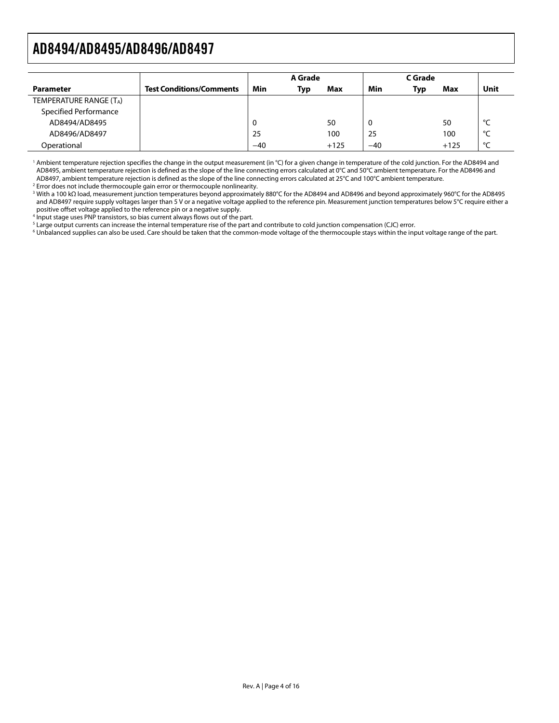<span id="page-3-0"></span>

|                        |                                 | A Grade |     | C Grade |       |     |        |         |
|------------------------|---------------------------------|---------|-----|---------|-------|-----|--------|---------|
| <b>Parameter</b>       | <b>Test Conditions/Comments</b> | Min     | Typ | Max     | Min   | Typ | Max    | Unit    |
| TEMPERATURE RANGE (TA) |                                 |         |     |         |       |     |        |         |
| Specified Performance  |                                 |         |     |         |       |     |        |         |
| AD8494/AD8495          |                                 | 0       |     | 50      | 0     |     | 50     | ഀ       |
| AD8496/AD8497          |                                 | 25      |     | 100     | 25    |     | 100    | $\circ$ |
| Operational            |                                 | $-40$   |     | $+125$  | $-40$ |     | $+125$ | $\sim$  |

<sup>1</sup> Ambient temperature rejection specifies the change in the output measurement (in °C) for a given change in temperature of the cold junction. For the AD8494 and AD8495, ambient temperature rejection is defined as the slope of the line connecting errors calculated at 0°C and 50°C ambient temperature. For the AD8496 and AD8497, ambient temperature rejection is defined as the slope of the line connecting errors calculated at 25°C and 100°C ambient temperature.

<sup>2</sup> Error does not include thermocouple gain error or thermocouple nonlinearity.

3 With a 100 kΩ load, measurement junction temperatures beyond approximately 880°C for the AD8494 and AD8496 and beyond approximately 960°C for the AD8495 and AD8497 require supply voltages larger than 5 V or a negative voltage applied to the reference pin. Measurement junction temperatures below 5°C require either a positive offset voltage applied to the reference pin or a negative supply.

<sup>4</sup> Input stage uses PNP transistors, so bias current always flows out of the part.

 $^5$  Large output currents can increase the internal temperature rise of the part and contribute to cold junction compensation (CJC) error.<br> $^6$  Unhalanced supplies can also be used. Care should be taken that the common-m

<sup>6</sup> Unbalanced supplies can also be used. Care should be taken that the common-mode voltage of the thermocouple stays within the input voltage range of the part.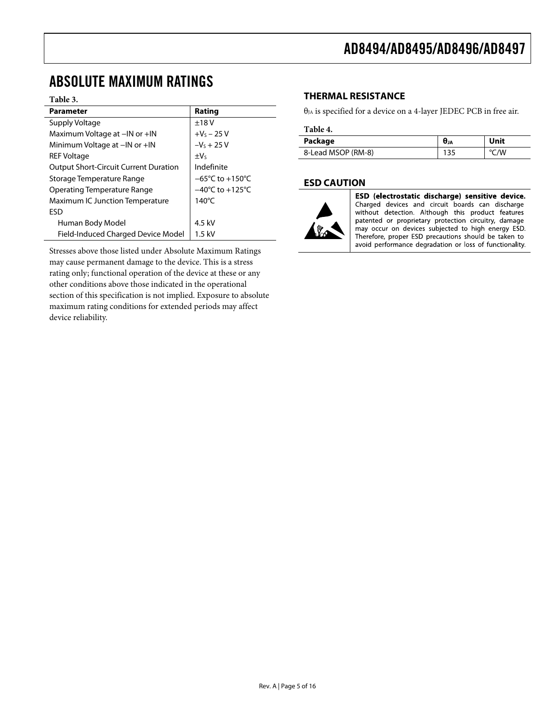## <span id="page-4-0"></span>ABSOLUTE MAXIMUM RATINGS

#### **Table 3.**

| <b>Parameter</b>                             | Rating                               |
|----------------------------------------------|--------------------------------------|
| Supply Voltage                               | ±18V                                 |
| Maximum Voltage at -IN or +IN                | $+V_S - 25 V$                        |
| Minimum Voltage at -IN or +IN                | $-V_s + 25 V$                        |
| <b>REF Voltage</b>                           | $\pm V_5$                            |
| <b>Output Short-Circuit Current Duration</b> | Indefinite                           |
| Storage Temperature Range                    | $-65^{\circ}$ C to +150 $^{\circ}$ C |
| Operating Temperature Range                  | $-40^{\circ}$ C to +125 $^{\circ}$ C |
| <b>Maximum IC Junction Temperature</b>       | $140^{\circ}$ C                      |
| <b>FSD</b>                                   |                                      |
| Human Body Model                             | 4.5 kV                               |
| Field-Induced Charged Device Model           | $1.5$ kV                             |

Stresses above those listed under Absolute Maximum Ratings may cause permanent damage to the device. This is a stress rating only; functional operation of the device at these or any other conditions above those indicated in the operational section of this specification is not implied. Exposure to absolute maximum rating conditions for extended periods may affect device reliability.

#### **THERMAL RESISTANCE**

 $\theta_{JA}$  is specified for a device on a 4-layer JEDEC PCB in free air.

#### **Table 4.**

| Package            | UJA | Unit |
|--------------------|-----|------|
| 8-Lead MSOP (RM-8) | 135 | °C/W |

#### **ESD CAUTION**



ESD (electrostatic discharge) sensitive device. Charged devices and circuit boards can discharge without detection. Although this product features patented or proprietary protection circuitry, damage may occur on devices subjected to high energy ESD. Therefore, proper ESD precautions should be taken to avoid performance degradation or loss of functionality.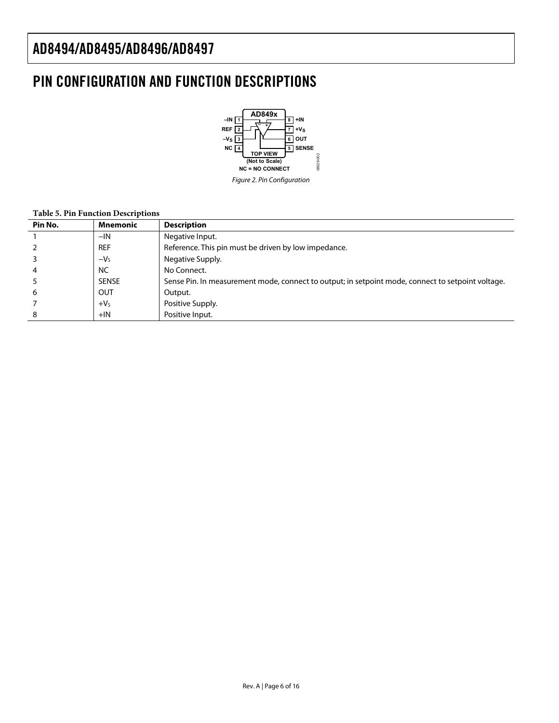### <span id="page-5-0"></span>PIN CONFIGURATION AND FUNCTION DESCRIPTIONS



#### **Table 5. Pin Function Descriptions**

| Pin No. | <b>Mnemonic</b> | <b>Description</b>                                                                                |
|---------|-----------------|---------------------------------------------------------------------------------------------------|
|         | $-IN$           | Negative Input.                                                                                   |
|         | <b>REF</b>      | Reference. This pin must be driven by low impedance.                                              |
|         | $-Vs$           | Negative Supply.                                                                                  |
|         | <b>NC</b>       | No Connect.                                                                                       |
|         | <b>SENSE</b>    | Sense Pin. In measurement mode, connect to output; in setpoint mode, connect to setpoint voltage. |
| 6       | OUT             | Output.                                                                                           |
|         | $+VS$           | Positive Supply.                                                                                  |
| 8       | $+IN$           | Positive Input.                                                                                   |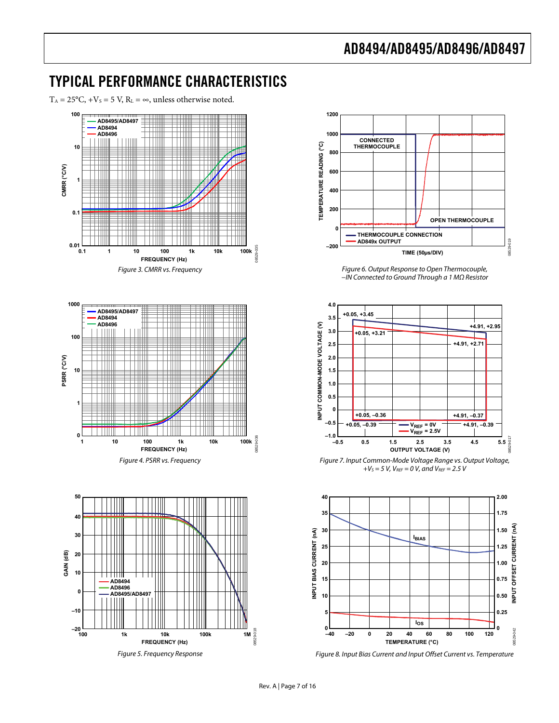### <span id="page-6-0"></span>TYPICAL PERFORMANCE CHARACTERISTICS

 $T_A = 25^{\circ}C$ ,  $+V_s = 5 V$ ,  $R_L = \infty$ , unless otherwise noted.

<span id="page-6-1"></span>

Figure 5. Frequency Response

**1200 1000 CONNECTED** TEMPERATURE READING (°C) **TEMPERATURE READING (°C) THERMOCOUPLE 800 600 400 200 OPEN THERMOCOUPLE 0 THERMOCOUPLE CONNECTION AD849x OUTPUT** 08529-019 **–200 TIME (50µs/DIV)**

Figure 6. Output Response to Open Thermocouple, −IN Connected to Ground Through a 1 MΩ Resistor



Figure 7. Input Common-Mode Voltage Range vs. Output Voltage,  $+V_S = 5 V$ ,  $V_{REF} = 0 V$ , and  $V_{REF} = 2.5 V$ 



Figure 8. Input Bias Current and Input Offset Current vs. Temperature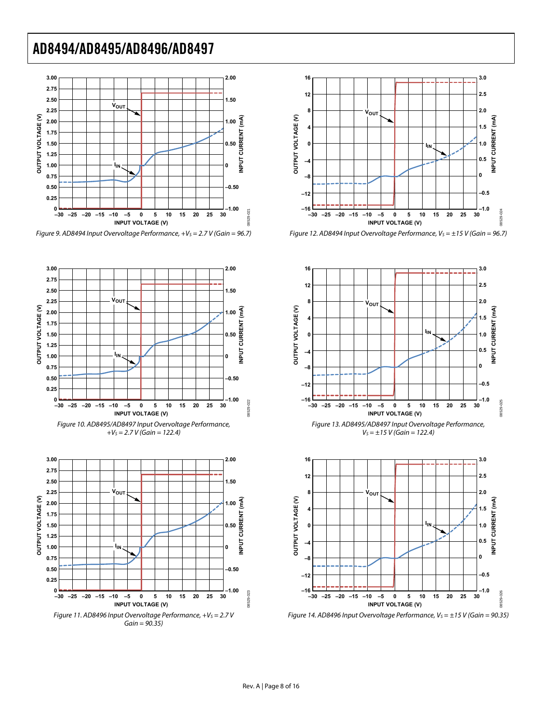

Figure 9. AD8494 Input Overvoltage Performance,  $+V_s = 2.7 V$  (Gain = 96.7)













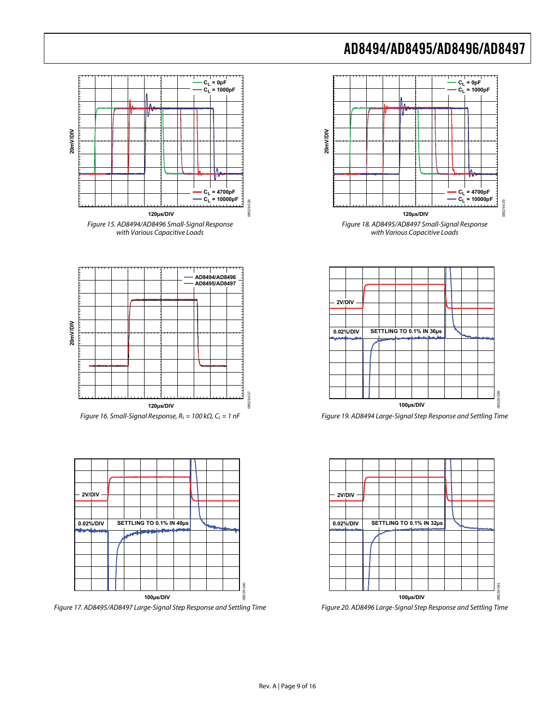



Figure 19. AD8494 Large-Signal Step Response and Settling Time



Figure 20. AD8496 Large-Signal Step Response and Settling Time









Figure 17. AD8495/AD8497 Large-Signal Step Response and Settling Time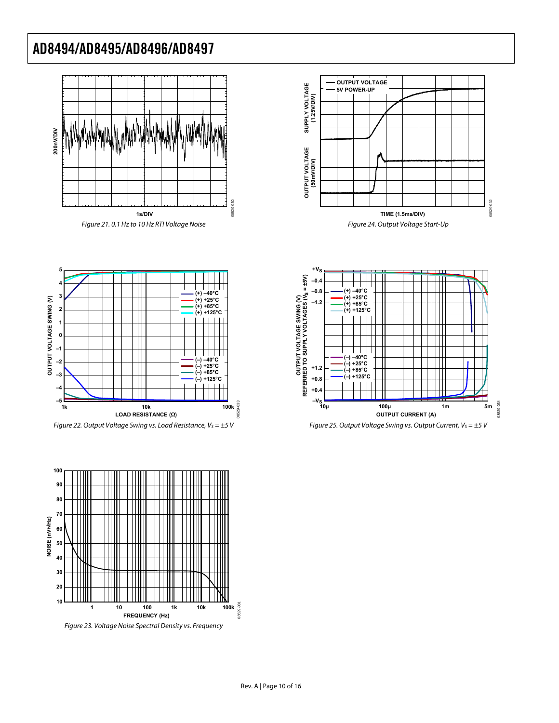









**5**



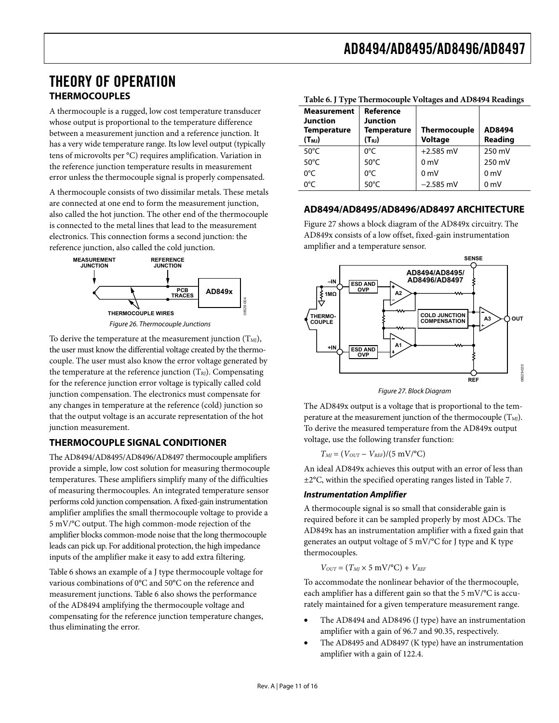### <span id="page-10-0"></span>THEORY OF OPERATION **THERMOCOUPLES**

<span id="page-10-1"></span>A thermocouple is a rugged, low cost temperature transducer whose output is proportional to the temperature difference between a measurement junction and a reference junction. It has a very wide temperature range. Its low level output (typically tens of microvolts per °C) requires amplification. Variation in the reference junction temperature results in measurement error unless the thermocouple signal is properly compensated.

A thermocouple consists of two dissimilar metals. These metals are connected at one end to form the measurement junction, also called the hot junction. The other end of the thermocouple is connected to the metal lines that lead to the measurement electronics. This connection forms a second junction: the reference junction, also called the cold junction.



To derive the temperature at the measurement junction  $(T<sub>MI</sub>)$ , the user must know the differential voltage created by the thermocouple. The user must also know the error voltage generated by the temperature at the reference junction  $(T_{RI})$ . Compensating for the reference junction error voltage is typically called cold junction compensation. The electronics must compensate for any changes in temperature at the reference (cold) junction so that the output voltage is an accurate representation of the hot junction measurement.

#### <span id="page-10-2"></span>**THERMOCOUPLE SIGNAL CONDITIONER**

The AD8494/AD8495/AD8496/AD8497 thermocouple amplifiers provide a simple, low cost solution for measuring thermocouple temperatures. These amplifiers simplify many of the difficulties of measuring thermocouples. An integrated temperature sensor performs cold junction compensation. A fixed-gain instrumentation amplifier amplifies the small thermocouple voltage to provide a 5 mV/°C output. The high common-mode rejection of the amplifier blocks common-mode noise that the long thermocouple leads can pick up. For additional protection, the high impedance inputs of the amplifier make it easy to add extra filtering.

[Table 6](#page-10-1) shows an example of a J type thermocouple voltage for various combinations of 0°C and 50°C on the reference and measurement junctions. [Table 6](#page-10-1) also shows the performance of the AD8494 amplifying the thermocouple voltage and compensating for the reference junction temperature changes, thus eliminating the error.

| Table 0. Type Thermocouple voltages and AD0474 Readings                   |                                                               |                                       |                   |  |  |  |  |
|---------------------------------------------------------------------------|---------------------------------------------------------------|---------------------------------------|-------------------|--|--|--|--|
| <b>Measurement</b><br><b>Junction</b><br><b>Temperature</b><br>$(T_{MJ})$ | Reference<br><b>Junction</b><br>Temperature<br>$(T_{\rm RJ})$ | <b>Thermocouple</b><br><b>Voltage</b> | AD8494<br>Reading |  |  |  |  |
| $50^{\circ}$ C                                                            | $0^{\circ}$ C                                                 | $+2.585$ mV                           | 250 mV            |  |  |  |  |
| $50^{\circ}$ C                                                            | $50^{\circ}$ C                                                | 0 <sub>m</sub>                        | 250 mV            |  |  |  |  |
| $0^{\circ}$ C                                                             | $0^{\circ}$ C                                                 | 0 <sub>m</sub>                        | 0 <sub>m</sub>    |  |  |  |  |
| 0°C                                                                       | $50^{\circ}$ C                                                | $-2.585$ mV                           | 0 <sub>m</sub>    |  |  |  |  |

**Table 6. J Type Thermocouple Voltages and AD8494 Readings** 

#### **AD8494/AD8495/AD8496/AD8497 ARCHITECTURE**

[Figure 27](#page-10-2) shows a block diagram of the AD849x circuitry. The AD849x consists of a low offset, fixed-gain instrumentation amplifier and a temperature sensor.



Figure 27. Block Diagram

The AD849x output is a voltage that is proportional to the temperature at the measurement junction of the thermocouple  $(T_M)$ . To derive the measured temperature from the AD849x output voltage, use the following transfer function:

 $T_{MI} = (V_{OUT} - V_{REF})/(5 \text{ mV}/^{\circ}\text{C})$ 

An ideal AD849x achieves this output with an error of less than ±2°C, within the specified operating ranges listed in [Table 7](#page-11-1).

#### *Instrumentation Amplifier*

A thermocouple signal is so small that considerable gain is required before it can be sampled properly by most ADCs. The AD849x has an instrumentation amplifier with a fixed gain that generates an output voltage of 5 mV/°C for J type and K type thermocouples.

$$
V_{OUT} = (T_{MI} \times 5 \text{ mV/}^{\circ}\text{C}) + V_{REF}
$$

To accommodate the nonlinear behavior of the thermocouple, each amplifier has a different gain so that the 5 mV/°C is accurately maintained for a given temperature measurement range.

- The AD8494 and AD8496 (J type) have an instrumentation amplifier with a gain of 96.7 and 90.35, respectively.
- The AD8495 and AD8497 (K type) have an instrumentation amplifier with a gain of 122.4.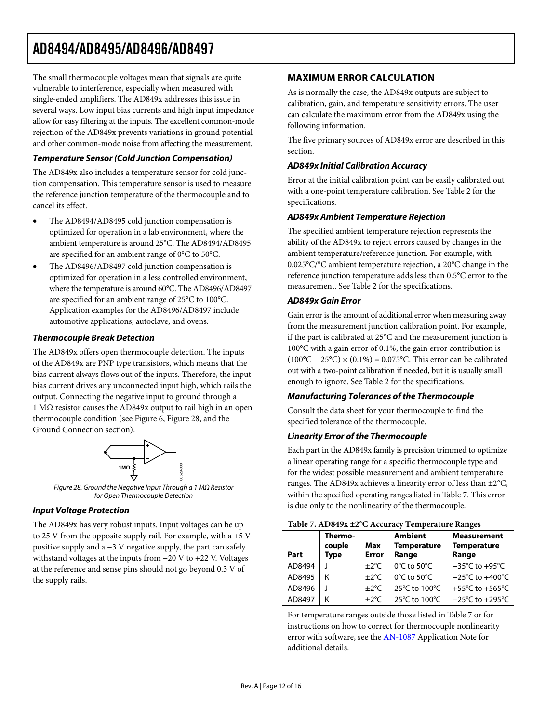<span id="page-11-0"></span>The small thermocouple voltages mean that signals are quite vulnerable to interference, especially when measured with single-ended amplifiers. The AD849x addresses this issue in several ways. Low input bias currents and high input impedance allow for easy filtering at the inputs. The excellent common-mode rejection of the AD849x prevents variations in ground potential and other common-mode noise from affecting the measurement.

#### *Temperature Sensor (Cold Junction Compensation)*

The AD849x also includes a temperature sensor for cold junction compensation. This temperature sensor is used to measure the reference junction temperature of the thermocouple and to cancel its effect.

- The AD8494/AD8495 cold junction compensation is optimized for operation in a lab environment, where the ambient temperature is around 25°C. The AD8494/AD8495 are specified for an ambient range of 0°C to 50°C.
- The AD8496/AD8497 cold junction compensation is optimized for operation in a less controlled environment, where the temperature is around 60°C. The AD8496/AD8497 are specified for an ambient range of 25°C to 100°C. Application examples for the AD8496/AD8497 include automotive applications, autoclave, and ovens.

#### *Thermocouple Break Detection*

The AD849x offers open thermocouple detection. The inputs of the AD849x are PNP type transistors, which means that the bias current always flows out of the inputs. Therefore, the input bias current drives any unconnected input high, which rails the output. Connecting the negative input to ground through a 1 MΩ resistor causes the AD849x output to rail high in an open thermocouple condition (see [Figure 6,](#page-6-1) [Figure 28](#page-11-2), and the [Ground Connection](#page-12-1) section).



Figure 28. Ground the Negative Input Through a 1 MΩ Resistor for Open Thermocouple Detection

#### <span id="page-11-2"></span>*Input Voltage Protection*

<span id="page-11-1"></span>The AD849x has very robust inputs. Input voltages can be up to 25 V from the opposite supply rail. For example, with a +5 V positive supply and a −3 V negative supply, the part can safely withstand voltages at the inputs from −20 V to +22 V. Voltages at the reference and sense pins should not go beyond 0.3 V of the supply rails.

#### **MAXIMUM ERROR CALCULATION**

As is normally the case, the AD849x outputs are subject to calibration, gain, and temperature sensitivity errors. The user can calculate the maximum error from the AD849x using the following information.

The five primary sources of AD849x error are described in this section.

#### *AD849x Initial Calibration Accuracy*

Error at the initial calibration point can be easily calibrated out with a one-point temperature calibration. See [Table 2](#page-2-1) for the specifications.

#### *AD849x Ambient Temperature Rejection*

The specified ambient temperature rejection represents the ability of the AD849x to reject errors caused by changes in the ambient temperature/reference junction. For example, with 0.025°C/°C ambient temperature rejection, a 20°C change in the reference junction temperature adds less than 0.5°C error to the measurement. See [Table 2](#page-2-1) for the specifications.

#### *AD849x Gain Error*

Gain error is the amount of additional error when measuring away from the measurement junction calibration point. For example, if the part is calibrated at 25°C and the measurement junction is 100°C with a gain error of 0.1%, the gain error contribution is  $(100^{\circ}C - 25^{\circ}C) \times (0.1\%) = 0.075^{\circ}C$ . This error can be calibrated out with a two-point calibration if needed, but it is usually small enough to ignore. See [Table 2](#page-2-1) for the specifications.

#### *Manufacturing Tolerances of the Thermocouple*

Consult the data sheet for your thermocouple to find the specified tolerance of the thermocouple.

#### *Linearity Error of the Thermocouple*

Each part in the AD849x family is precision trimmed to optimize a linear operating range for a specific thermocouple type and for the widest possible measurement and ambient temperature ranges. The AD849x achieves a linearity error of less than ±2°C, within the specified operating ranges listed in [Table 7](#page-11-1). This error is due only to the nonlinearity of the thermocouple.

|        | Table 7. AD047A ±2 © Accuracy Temperature Ranges |                     |                                        |                                                   |  |  |  |  |  |
|--------|--------------------------------------------------|---------------------|----------------------------------------|---------------------------------------------------|--|--|--|--|--|
| Part   | Thermo-<br>couple<br><b>Type</b>                 | Max<br><b>Error</b> | Ambient<br><b>Temperature</b><br>Range | <b>Measurement</b><br><b>Temperature</b><br>Range |  |  |  |  |  |
| AD8494 |                                                  | $\pm 2^{\circ}$ C   | $0^{\circ}$ C to 50 $^{\circ}$ C       | $-35^{\circ}$ C to +95 $^{\circ}$ C               |  |  |  |  |  |
| AD8495 | κ                                                | $\pm 2^{\circ}$ C   | 0°C to 50°C                            | $-25^{\circ}$ C to $+400^{\circ}$ C               |  |  |  |  |  |
| AD8496 |                                                  | $\pm 2^{\circ}$ C   | 25°C to 100°C                          | +55 $\degree$ C to +565 $\degree$ C               |  |  |  |  |  |
| AD8497 | Κ                                                | $\pm 2^{\circ}$ C   | 25°C to 100°C                          | $-25^{\circ}$ C to $+295^{\circ}$ C               |  |  |  |  |  |

#### **Table 7. AD849x ±2°C Accuracy Temperature Ranges**

For temperature ranges outside those listed in [Table 7](#page-11-1) or for instructions on how to correct for thermocouple nonlinearity error with software, see the [AN-1087](http://www.analog.com/AN-1087) Application Note for additional details.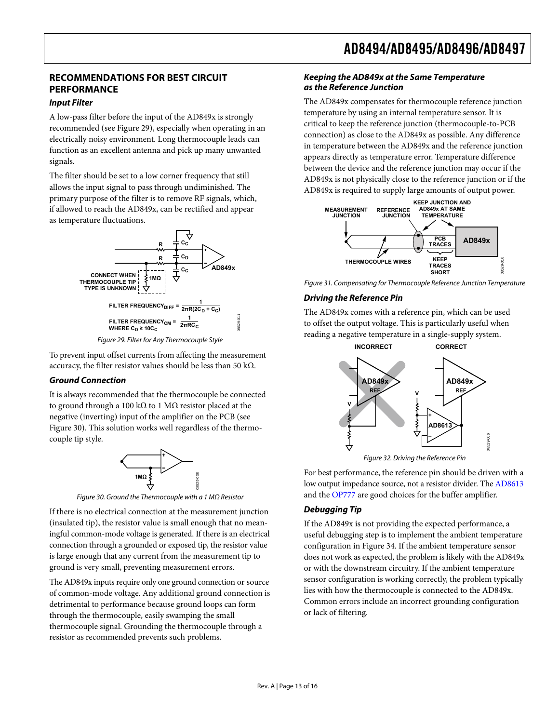### <span id="page-12-0"></span>**RECOMMENDATIONS FOR BEST CIRCUIT PERFORMANCE**

#### *Input Filter*

A low-pass filter before the input of the AD849x is strongly recommended (see [Figure 29\)](#page-12-2), especially when operating in an electrically noisy environment. Long thermocouple leads can function as an excellent antenna and pick up many unwanted signals.

The filter should be set to a low corner frequency that still allows the input signal to pass through undiminished. The primary purpose of the filter is to remove RF signals, which, if allowed to reach the AD849x, can be rectified and appear as temperature fluctuations.



<span id="page-12-2"></span>To prevent input offset currents from affecting the measurement accuracy, the filter resistor values should be less than 50 kΩ.

#### <span id="page-12-1"></span>*Ground Connection*

It is always recommended that the thermocouple be connected to ground through a 100 kΩ to 1 MΩ resistor placed at the negative (inverting) input of the amplifier on the PCB (see [Figure 30](#page-12-3)). This solution works well regardless of the thermocouple tip style.



<span id="page-12-3"></span>If there is no electrical connection at the measurement junction **Debugging Tip** (insulated tip), the resistor value is small enough that no meaningful common-mode voltage is generated. If there is an electrical connection through a grounded or exposed tip, the resistor value is large enough that any current from the measurement tip to ground is very small, preventing measurement errors.

The AD849x inputs require only one ground connection or source of common-mode voltage. Any additional ground connection is detrimental to performance because ground loops can form through the thermocouple, easily swamping the small thermocouple signal. Grounding the thermocouple through a resistor as recommended prevents such problems.

#### *Keeping the AD849x at the Same Temperature as the Reference Junction*

The AD849x compensates for thermocouple reference junction temperature by using an internal temperature sensor. It is critical to keep the reference junction (thermocouple-to-PCB connection) as close to the AD849x as possible. Any difference in temperature between the AD849x and the reference junction appears directly as temperature error. Temperature difference between the device and the reference junction may occur if the AD849x is not physically close to the reference junction or if the AD849x is required to supply large amounts of output power.



Figure 31. Compensating for Thermocouple Reference Junction Temperature

#### *Driving the Reference Pin*

The AD849x comes with a reference pin, which can be used to offset the output voltage. This is particularly useful when reading a negative temperature in a single-supply system.



Figure 32. Driving the Reference Pin

For best performance, the reference pin should be driven with a low output impedance source, not a resistor divider. The [AD8613](http://www.analog.com/AD8613) Figure 30. Ground the Thermocouple with a 1 MΩ Resistor and the [OP777](http://www.analog.com/OP777) are good choices for the buffer amplifier.

If the AD849x is not providing the expected performance, a useful debugging step is to implement the ambient temperature configuration in [Figure 34](#page-13-1). If the ambient temperature sensor does not work as expected, the problem is likely with the AD849x or with the downstream circuitry. If the ambient temperature sensor configuration is working correctly, the problem typically lies with how the thermocouple is connected to the AD849x. Common errors include an incorrect grounding configuration or lack of filtering.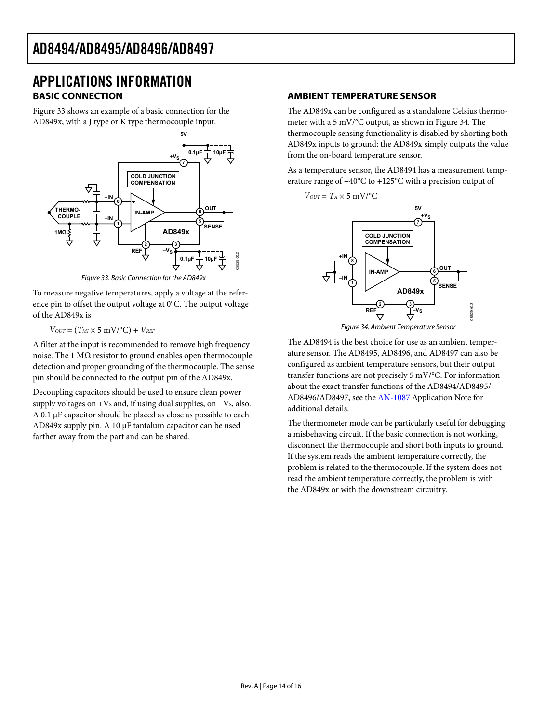### <span id="page-13-0"></span>APPLICATIONS INFORMATION **BASIC CONNECTION**

[Figure 33](#page-13-2) shows an example of a basic connection for the AD849x, with a J type or K type thermocouple input.



Figure 33. Basic Connection for the AD849x

<span id="page-13-2"></span>To measure negative temperatures, apply a voltage at the reference pin to offset the output voltage at 0°C. The output voltage of the AD849x is

 $V_{OUT} = (T_{MI} \times 5 \text{ mV} / {}^{\circ}\text{C}) + V_{REF}$ 

<span id="page-13-1"></span>A filter at the input is recommended to remove high frequency noise. The 1  $MΩ$  resistor to ground enables open thermocouple detection and proper grounding of the thermocouple. The sense pin should be connected to the output pin of the AD849x.

Decoupling capacitors should be used to ensure clean power supply voltages on + $V_s$  and, if using dual supplies, on  $-V_s$ , also. A 0.1 μF capacitor should be placed as close as possible to each AD849x supply pin. A 10 μF tantalum capacitor can be used farther away from the part and can be shared.

#### **AMBIENT TEMPERATURE SENSOR**

The AD849x can be configured as a standalone Celsius thermometer with a 5 mV/°C output, as shown in [Figure 34.](#page-13-1) The thermocouple sensing functionality is disabled by shorting both AD849x inputs to ground; the AD849x simply outputs the value from the on-board temperature sensor.

As a temperature sensor, the AD8494 has a measurement temperature range of −40°C to +125°C with a precision output of



Figure 34. Ambient Temperature Sensor

The AD8494 is the best choice for use as an ambient temperature sensor. The AD8495, AD8496, and AD8497 can also be configured as ambient temperature sensors, but their output transfer functions are not precisely 5 mV/°C. For information about the exact transfer functions of the AD8494/AD8495/ AD8496/AD8497, see the [AN-1087](http://www.analog.com/AN-1087) Application Note for additional details.

The thermometer mode can be particularly useful for debugging a misbehaving circuit. If the basic connection is not working, disconnect the thermocouple and short both inputs to ground. If the system reads the ambient temperature correctly, the problem is related to the thermocouple. If the system does not read the ambient temperature correctly, the problem is with the AD849x or with the downstream circuitry.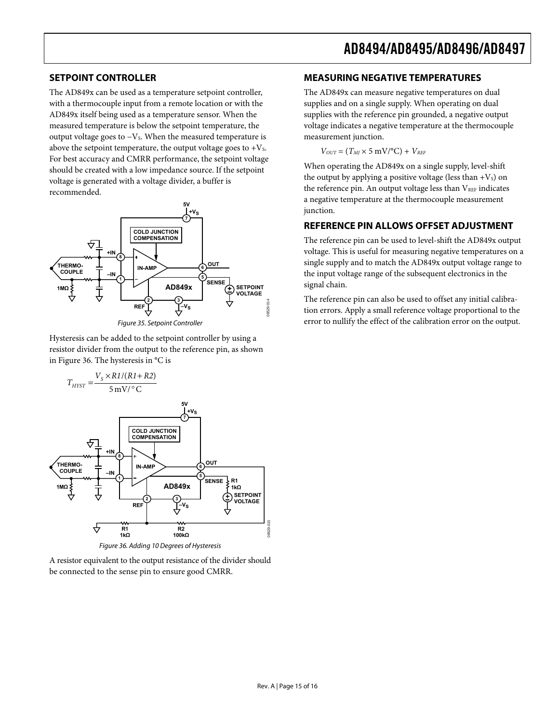#### <span id="page-14-0"></span>**SETPOINT CONTROLLER**

The AD849x can be used as a temperature setpoint controller, with a thermocouple input from a remote location or with the AD849x itself being used as a temperature sensor. When the measured temperature is below the setpoint temperature, the output voltage goes to  $-V_s$ . When the measured temperature is above the setpoint temperature, the output voltage goes to  $+V_s$ . For best accuracy and CMRR performance, the setpoint voltage should be created with a low impedance source. If the setpoint voltage is generated with a voltage divider, a buffer is recommended.





Hysteresis can be added to the setpoint controller by using a resistor divider from the output to the reference pin, as shown in [Figure 36](#page-14-1). The hysteresis in °C is



Figure 36. Adding 10 Degrees of Hysteresis

<span id="page-14-1"></span>A resistor equivalent to the output resistance of the divider should be connected to the sense pin to ensure good CMRR.

#### **MEASURING NEGATIVE TEMPERATURES**

The AD849x can measure negative temperatures on dual supplies and on a single supply. When operating on dual supplies with the reference pin grounded, a negative output voltage indicates a negative temperature at the thermocouple measurement junction.

 $V_{OUT} = (T_M \times 5 \text{ mV/}^{\circ}\text{C}) + V_{REF}$ 

When operating the AD849x on a single supply, level-shift the output by applying a positive voltage (less than  $+V_s$ ) on the reference pin. An output voltage less than  $V_{REF}$  indicates a negative temperature at the thermocouple measurement junction.

#### **REFERENCE PIN ALLOWS OFFSET ADJUSTMENT**

The reference pin can be used to level-shift the AD849x output voltage. This is useful for measuring negative temperatures on a single supply and to match the AD849x output voltage range to the input voltage range of the subsequent electronics in the signal chain.

The reference pin can also be used to offset any initial calibration errors. Apply a small reference voltage proportional to the error to nullify the effect of the calibration error on the output.